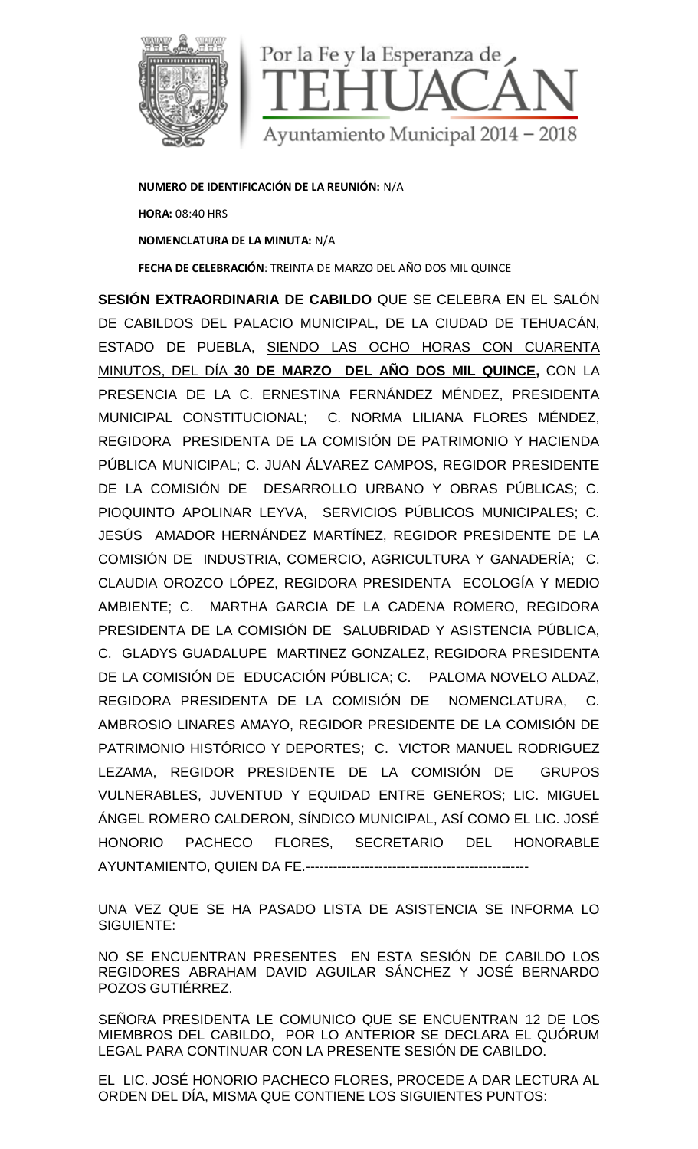

**NUMERO DE IDENTIFICACIÓN DE LA REUNIÓN:** N/A **HORA:** 08:40 HRS **NOMENCLATURA DE LA MINUTA:** N/A **FECHA DE CELEBRACIÓN**: TREINTA DE MARZO DEL AÑO DOS MIL QUINCE

**SESIÓN EXTRAORDINARIA DE CABILDO** QUE SE CELEBRA EN EL SALÓN DE CABILDOS DEL PALACIO MUNICIPAL, DE LA CIUDAD DE TEHUACÁN, ESTADO DE PUEBLA, SIENDO LAS OCHO HORAS CON CUARENTA MINUTOS, DEL DÍA **30 DE MARZO DEL AÑO DOS MIL QUINCE,** CON LA PRESENCIA DE LA C. ERNESTINA FERNÁNDEZ MÉNDEZ, PRESIDENTA MUNICIPAL CONSTITUCIONAL; C. NORMA LILIANA FLORES MÉNDEZ, REGIDORA PRESIDENTA DE LA COMISIÓN DE PATRIMONIO Y HACIENDA PÚBLICA MUNICIPAL; C. JUAN ÁLVAREZ CAMPOS, REGIDOR PRESIDENTE DE LA COMISIÓN DE DESARROLLO URBANO Y OBRAS PÚBLICAS; C. PIOQUINTO APOLINAR LEYVA, SERVICIOS PÚBLICOS MUNICIPALES; C. JESÚS AMADOR HERNÁNDEZ MARTÍNEZ, REGIDOR PRESIDENTE DE LA COMISIÓN DE INDUSTRIA, COMERCIO, AGRICULTURA Y GANADERÍA; C. CLAUDIA OROZCO LÓPEZ, REGIDORA PRESIDENTA ECOLOGÍA Y MEDIO AMBIENTE; C. MARTHA GARCIA DE LA CADENA ROMERO, REGIDORA PRESIDENTA DE LA COMISIÓN DE SALUBRIDAD Y ASISTENCIA PÚBLICA, C. GLADYS GUADALUPE MARTINEZ GONZALEZ, REGIDORA PRESIDENTA DE LA COMISIÓN DE EDUCACIÓN PÚBLICA; C. PALOMA NOVELO ALDAZ, REGIDORA PRESIDENTA DE LA COMISIÓN DE NOMENCLATURA, C. AMBROSIO LINARES AMAYO, REGIDOR PRESIDENTE DE LA COMISIÓN DE PATRIMONIO HISTÓRICO Y DEPORTES; C. VICTOR MANUEL RODRIGUEZ LEZAMA, REGIDOR PRESIDENTE DE LA COMISIÓN DE GRUPOS VULNERABLES, JUVENTUD Y EQUIDAD ENTRE GENEROS; LIC. MIGUEL ÁNGEL ROMERO CALDERON, SÍNDICO MUNICIPAL, ASÍ COMO EL LIC. JOSÉ HONORIO PACHECO FLORES, SECRETARIO DEL HONORABLE AYUNTAMIENTO, QUIEN DA FE.-------------------------------------------------

UNA VEZ QUE SE HA PASADO LISTA DE ASISTENCIA SE INFORMA LO SIGUIENTE:

NO SE ENCUENTRAN PRESENTES EN ESTA SESIÓN DE CABILDO LOS REGIDORES ABRAHAM DAVID AGUILAR SÁNCHEZ Y JOSÉ BERNARDO POZOS GUTIÉRREZ.

SEÑORA PRESIDENTA LE COMUNICO QUE SE ENCUENTRAN 12 DE LOS MIEMBROS DEL CABILDO, POR LO ANTERIOR SE DECLARA EL QUÓRUM LEGAL PARA CONTINUAR CON LA PRESENTE SESIÓN DE CABILDO.

EL LIC. JOSÉ HONORIO PACHECO FLORES, PROCEDE A DAR LECTURA AL ORDEN DEL DÍA, MISMA QUE CONTIENE LOS SIGUIENTES PUNTOS: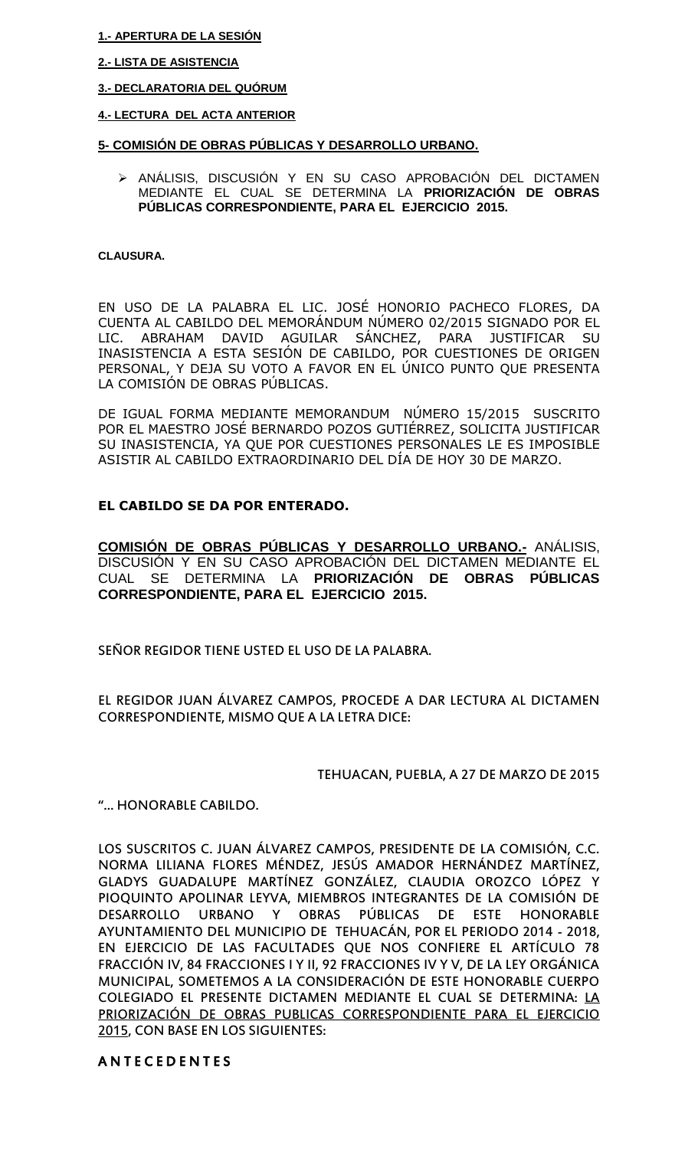#### **1.- APERTURA DE LA SESIÓN**

## **2.- LISTA DE ASISTENCIA**

## **3.- DECLARATORIA DEL QUÓRUM**

### **4.- LECTURA DEL ACTA ANTERIOR**

## **5- COMISIÓN DE OBRAS PÚBLICAS Y DESARROLLO URBANO.**

 ANÁLISIS, DISCUSIÓN Y EN SU CASO APROBACIÓN DEL DICTAMEN MEDIANTE EL CUAL SE DETERMINA LA **PRIORIZACIÓN DE OBRAS PÚBLICAS CORRESPONDIENTE, PARA EL EJERCICIO 2015.**

#### **CLAUSURA.**

EN USO DE LA PALABRA EL LIC. JOSÉ HONORIO PACHECO FLORES, DA CUENTA AL CABILDO DEL MEMORÁNDUM NÚMERO 02/2015 SIGNADO POR EL LIC. ABRAHAM DAVID AGUILAR SÁNCHEZ, PARA JUSTIFICAR SU INASISTENCIA A ESTA SESIÓN DE CABILDO, POR CUESTIONES DE ORIGEN PERSONAL, Y DEJA SU VOTO A FAVOR EN EL ÚNICO PUNTO QUE PRESENTA LA COMISIÓN DE OBRAS PÚBLICAS.

DE IGUAL FORMA MEDIANTE MEMORANDUM NÚMERO 15/2015 SUSCRITO POR EL MAESTRO JOSÉ BERNARDO POZOS GUTIÉRREZ, SOLICITA JUSTIFICAR SU INASISTENCIA, YA QUE POR CUESTIONES PERSONALES LE ES IMPOSIBLE ASISTIR AL CABILDO EXTRAORDINARIO DEL DÍA DE HOY 30 DE MARZO.

## **EL CABILDO SE DA POR ENTERADO.**

**COMISIÓN DE OBRAS PÚBLICAS Y DESARROLLO URBANO.-** ANÁLISIS, DISCUSIÓN Y EN SU CASO APROBACIÓN DEL DICTAMEN MEDIANTE EL CUAL SE DETERMINA LA **PRIORIZACIÓN DE OBRAS PÚBLICAS CORRESPONDIENTE, PARA EL EJERCICIO 2015.**

SEÑOR REGIDOR TIENE USTED EL USO DE LA PALABRA.

EL REGIDOR JUAN ÁLVAREZ CAMPOS, PROCEDE A DAR LECTURA AL DICTAMEN CORRESPONDIENTE, MISMO QUE A LA LETRA DICE:

# TEHUACAN, PUEBLA, A 27 DE MARZO DE 2015

"… HONORABLE CABILDO.

LOS SUSCRITOS C. JUAN ÁLVAREZ CAMPOS, PRESIDENTE DE LA COMISIÓN, C.C. NORMA LILIANA FLORES MÉNDEZ, JESÚS AMADOR HERNÁNDEZ MARTÍNEZ, GLADYS GUADALUPE MARTÍNEZ GONZÁLEZ, CLAUDIA OROZCO LÓPEZ Y PIOQUINTO APOLINAR LEYVA, MIEMBROS INTEGRANTES DE LA COMISIÓN DE DESARROLLO URBANO Y OBRAS PÚBLICAS DE ESTE HONORABLE AYUNTAMIENTO DEL MUNICIPIO DE TEHUACÁN, POR EL PERIODO 2014 - 2018, EN EJERCICIO DE LAS FACULTADES QUE NOS CONFIERE EL ARTÍCULO 78 FRACCIÓN IV, 84 FRACCIONES I Y II, 92 FRACCIONES IV Y V, DE LA LEY ORGÁNICA MUNICIPAL, SOMETEMOS A LA CONSIDERACIÓN DE ESTE HONORABLE CUERPO COLEGIADO EL PRESENTE DICTAMEN MEDIANTE EL CUAL SE DETERMINA: LA PRIORIZACIÓN DE OBRAS PUBLICAS CORRESPONDIENTE PARA EL EJERCICIO 2015, CON BASE EN LOS SIGUIENTES:

# A N T E C E D E N T E S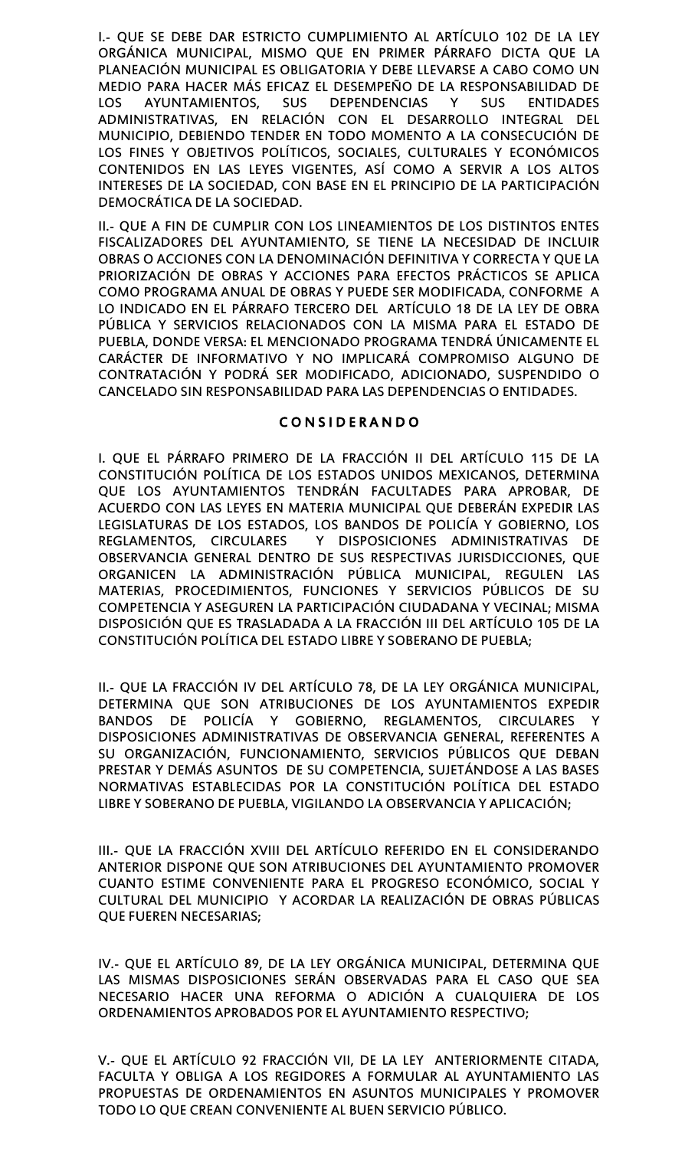I.- QUE SE DEBE DAR ESTRICTO CUMPLIMIENTO AL ARTÍCULO 102 DE LA LEY ORGÁNICA MUNICIPAL, MISMO QUE EN PRIMER PÁRRAFO DICTA QUE LA PLANEACIÓN MUNICIPAL ES OBLIGATORIA Y DEBE LLEVARSE A CABO COMO UN MEDIO PARA HACER MÁS EFICAZ EL DESEMPEÑO DE LA RESPONSABILIDAD DE LOS AYUNTAMIENTOS, SUS DEPENDENCIAS Y SUS ENTIDADES ADMINISTRATIVAS, EN RELACIÓN CON EL DESARROLLO INTEGRAL DEL MUNICIPIO, DEBIENDO TENDER EN TODO MOMENTO A LA CONSECUCIÓN DE LOS FINES Y OBJETIVOS POLÍTICOS, SOCIALES, CULTURALES Y ECONÓMICOS CONTENIDOS EN LAS LEYES VIGENTES, ASÍ COMO A SERVIR A LOS ALTOS INTERESES DE LA SOCIEDAD, CON BASE EN EL PRINCIPIO DE LA PARTICIPACIÓN DEMOCRÁTICA DE LA SOCIEDAD.

II.- QUE A FIN DE CUMPLIR CON LOS LINEAMIENTOS DE LOS DISTINTOS ENTES FISCALIZADORES DEL AYUNTAMIENTO, SE TIENE LA NECESIDAD DE INCLUIR OBRAS O ACCIONES CON LA DENOMINACIÓN DEFINITIVA Y CORRECTA Y QUE LA PRIORIZACIÓN DE OBRAS Y ACCIONES PARA EFECTOS PRÁCTICOS SE APLICA COMO PROGRAMA ANUAL DE OBRAS Y PUEDE SER MODIFICADA, CONFORME A LO INDICADO EN EL PÁRRAFO TERCERO DEL ARTÍCULO 18 DE LA LEY DE OBRA PÚBLICA Y SERVICIOS RELACIONADOS CON LA MISMA PARA EL ESTADO DE PUEBLA, DONDE VERSA: EL MENCIONADO PROGRAMA TENDRÁ ÚNICAMENTE EL CARÁCTER DE INFORMATIVO Y NO IMPLICARÁ COMPROMISO ALGUNO DE CONTRATACIÓN Y PODRÁ SER MODIFICADO, ADICIONADO, SUSPENDIDO O CANCELADO SIN RESPONSABILIDAD PARA LAS DEPENDENCIAS O ENTIDADES.

# C O N S I D E R A N D O

I. QUE EL PÁRRAFO PRIMERO DE LA FRACCIÓN II DEL ARTÍCULO 115 DE LA CONSTITUCIÓN POLÍTICA DE LOS ESTADOS UNIDOS MEXICANOS, DETERMINA QUE LOS AYUNTAMIENTOS TENDRÁN FACULTADES PARA APROBAR, DE ACUERDO CON LAS LEYES EN MATERIA MUNICIPAL QUE DEBERÁN EXPEDIR LAS LEGISLATURAS DE LOS ESTADOS, LOS BANDOS DE POLICÍA Y GOBIERNO, LOS REGLAMENTOS, CIRCULARES Y DISPOSICIONES ADMINISTRATIVAS DE OBSERVANCIA GENERAL DENTRO DE SUS RESPECTIVAS JURISDICCIONES, QUE ORGANICEN LA ADMINISTRACIÓN PÚBLICA MUNICIPAL, REGULEN LAS MATERIAS, PROCEDIMIENTOS, FUNCIONES Y SERVICIOS PÚBLICOS DE SU COMPETENCIA Y ASEGUREN LA PARTICIPACIÓN CIUDADANA Y VECINAL; MISMA DISPOSICIÓN QUE ES TRASLADADA A LA FRACCIÓN III DEL ARTÍCULO 105 DE LA CONSTITUCIÓN POLÍTICA DEL ESTADO LIBRE Y SOBERANO DE PUEBLA;

II.- QUE LA FRACCIÓN IV DEL ARTÍCULO 78, DE LA LEY ORGÁNICA MUNICIPAL, DETERMINA QUE SON ATRIBUCIONES DE LOS AYUNTAMIENTOS EXPEDIR BANDOS DE POLICÍA Y GOBIERNO, REGLAMENTOS, CIRCULARES Y DISPOSICIONES ADMINISTRATIVAS DE OBSERVANCIA GENERAL, REFERENTES A SU ORGANIZACIÓN, FUNCIONAMIENTO, SERVICIOS PÚBLICOS QUE DEBAN PRESTAR Y DEMÁS ASUNTOS DE SU COMPETENCIA, SUJETÁNDOSE A LAS BASES NORMATIVAS ESTABLECIDAS POR LA CONSTITUCIÓN POLÍTICA DEL ESTADO LIBRE Y SOBERANO DE PUEBLA, VIGILANDO LA OBSERVANCIA Y APLICACIÓN;

III.- QUE LA FRACCIÓN XVIII DEL ARTÍCULO REFERIDO EN EL CONSIDERANDO ANTERIOR DISPONE QUE SON ATRIBUCIONES DEL AYUNTAMIENTO PROMOVER CUANTO ESTIME CONVENIENTE PARA EL PROGRESO ECONÓMICO, SOCIAL Y CULTURAL DEL MUNICIPIO Y ACORDAR LA REALIZACIÓN DE OBRAS PÚBLICAS QUE FUEREN NECESARIAS;

IV.- QUE EL ARTÍCULO 89, DE LA LEY ORGÁNICA MUNICIPAL, DETERMINA QUE LAS MISMAS DISPOSICIONES SERÁN OBSERVADAS PARA EL CASO QUE SEA NECESARIO HACER UNA REFORMA O ADICIÓN A CUALQUIERA DE LOS ORDENAMIENTOS APROBADOS POR EL AYUNTAMIENTO RESPECTIVO;

V.- QUE EL ARTÍCULO 92 FRACCIÓN VII, DE LA LEY ANTERIORMENTE CITADA, FACULTA Y OBLIGA A LOS REGIDORES A FORMULAR AL AYUNTAMIENTO LAS PROPUESTAS DE ORDENAMIENTOS EN ASUNTOS MUNICIPALES Y PROMOVER TODO LO QUE CREAN CONVENIENTE AL BUEN SERVICIO PÚBLICO.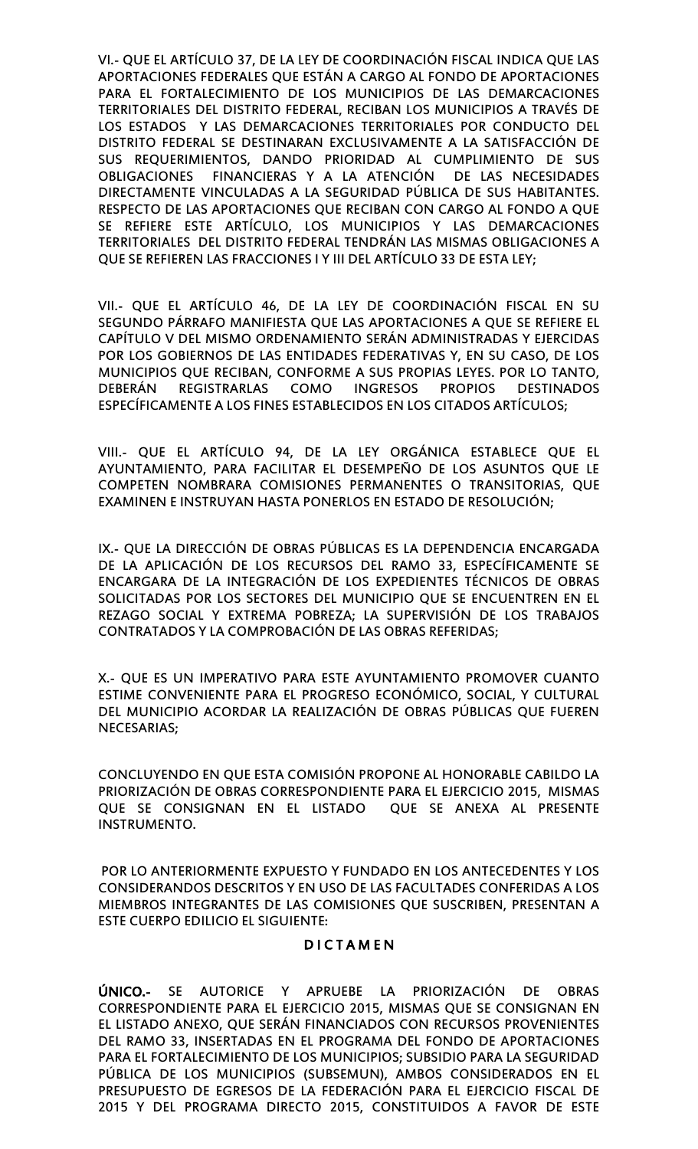VI.- QUE EL ARTÍCULO 37, DE LA LEY DE COORDINACIÓN FISCAL INDICA QUE LAS APORTACIONES FEDERALES QUE ESTÁN A CARGO AL FONDO DE APORTACIONES PARA EL FORTALECIMIENTO DE LOS MUNICIPIOS DE LAS DEMARCACIONES TERRITORIALES DEL DISTRITO FEDERAL, RECIBAN LOS MUNICIPIOS A TRAVÉS DE LOS ESTADOS Y LAS DEMARCACIONES TERRITORIALES POR CONDUCTO DEL DISTRITO FEDERAL SE DESTINARAN EXCLUSIVAMENTE A LA SATISFACCIÓN DE SUS REQUERIMIENTOS, DANDO PRIORIDAD AL CUMPLIMIENTO DE SUS OBLIGACIONES FINANCIERAS Y A LA ATENCIÓN DE LAS NECESIDADES DIRECTAMENTE VINCULADAS A LA SEGURIDAD PÚBLICA DE SUS HABITANTES. RESPECTO DE LAS APORTACIONES QUE RECIBAN CON CARGO AL FONDO A QUE SE REFIERE ESTE ARTÍCULO, LOS MUNICIPIOS Y LAS DEMARCACIONES TERRITORIALES DEL DISTRITO FEDERAL TENDRÁN LAS MISMAS OBLIGACIONES A QUE SE REFIEREN LAS FRACCIONES I Y III DEL ARTÍCULO 33 DE ESTA LEY;

VII.- QUE EL ARTÍCULO 46, DE LA LEY DE COORDINACIÓN FISCAL EN SU SEGUNDO PÁRRAFO MANIFIESTA QUE LAS APORTACIONES A QUE SE REFIERE EL CAPÍTULO V DEL MISMO ORDENAMIENTO SERÁN ADMINISTRADAS Y EJERCIDAS POR LOS GOBIERNOS DE LAS ENTIDADES FEDERATIVAS Y, EN SU CASO, DE LOS MUNICIPIOS QUE RECIBAN, CONFORME A SUS PROPIAS LEYES. POR LO TANTO, DEBERÁN REGISTRARLAS COMO INGRESOS PROPIOS DESTINADOS ESPECÍFICAMENTE A LOS FINES ESTABLECIDOS EN LOS CITADOS ARTÍCULOS;

VIII.- QUE EL ARTÍCULO 94, DE LA LEY ORGÁNICA ESTABLECE QUE EL AYUNTAMIENTO, PARA FACILITAR EL DESEMPEÑO DE LOS ASUNTOS QUE LE COMPETEN NOMBRARA COMISIONES PERMANENTES O TRANSITORIAS, QUE EXAMINEN E INSTRUYAN HASTA PONERLOS EN ESTADO DE RESOLUCIÓN;

IX.- QUE LA DIRECCIÓN DE OBRAS PÚBLICAS ES LA DEPENDENCIA ENCARGADA DE LA APLICACIÓN DE LOS RECURSOS DEL RAMO 33, ESPECÍFICAMENTE SE ENCARGARA DE LA INTEGRACIÓN DE LOS EXPEDIENTES TÉCNICOS DE OBRAS SOLICITADAS POR LOS SECTORES DEL MUNICIPIO QUE SE ENCUENTREN EN EL REZAGO SOCIAL Y EXTREMA POBREZA; LA SUPERVISIÓN DE LOS TRABAJOS CONTRATADOS Y LA COMPROBACIÓN DE LAS OBRAS REFERIDAS;

X.- QUE ES UN IMPERATIVO PARA ESTE AYUNTAMIENTO PROMOVER CUANTO ESTIME CONVENIENTE PARA EL PROGRESO ECONÓMICO, SOCIAL, Y CULTURAL DEL MUNICIPIO ACORDAR LA REALIZACIÓN DE OBRAS PÚBLICAS QUE FUEREN NECESARIAS;

CONCLUYENDO EN QUE ESTA COMISIÓN PROPONE AL HONORABLE CABILDO LA PRIORIZACIÓN DE OBRAS CORRESPONDIENTE PARA EL EJERCICIO 2015, MISMAS QUE SE CONSIGNAN EN EL LISTADO QUE SE ANEXA AL PRESENTE INSTRUMENTO.

POR LO ANTERIORMENTE EXPUESTO Y FUNDADO EN LOS ANTECEDENTES Y LOS CONSIDERANDOS DESCRITOS Y EN USO DE LAS FACULTADES CONFERIDAS A LOS MIEMBROS INTEGRANTES DE LAS COMISIONES QUE SUSCRIBEN, PRESENTAN A ESTE CUERPO EDILICIO EL SIGUIENTE:

# **DICTAMEN**

ÚNICO.- SE AUTORICE Y APRUEBE LA PRIORIZACIÓN DE OBRAS CORRESPONDIENTE PARA EL EJERCICIO 2015, MISMAS QUE SE CONSIGNAN EN EL LISTADO ANEXO, QUE SERÁN FINANCIADOS CON RECURSOS PROVENIENTES DEL RAMO 33, INSERTADAS EN EL PROGRAMA DEL FONDO DE APORTACIONES PARA EL FORTALECIMIENTO DE LOS MUNICIPIOS; SUBSIDIO PARA LA SEGURIDAD PÚBLICA DE LOS MUNICIPIOS (SUBSEMUN), AMBOS CONSIDERADOS EN EL PRESUPUESTO DE EGRESOS DE LA FEDERACIÓN PARA EL EJERCICIO FISCAL DE 2015 Y DEL PROGRAMA DIRECTO 2015, CONSTITUIDOS A FAVOR DE ESTE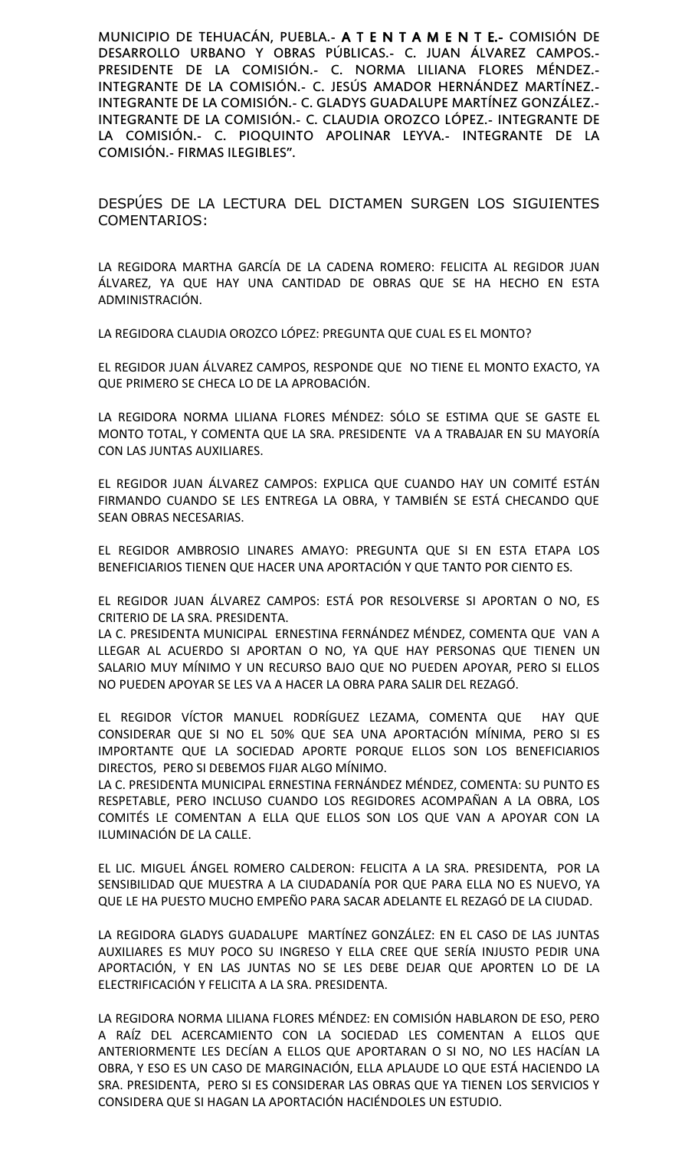MUNICIPIO DE TEHUACÁN, PUEBLA.- A T E N T A M E N T E.- COMISIÓN DE DESARROLLO URBANO Y OBRAS PÚBLICAS.- C. JUAN ÁLVAREZ CAMPOS.- PRESIDENTE DE LA COMISIÓN.- C. NORMA LILIANA FLORES MÉNDEZ.- INTEGRANTE DE LA COMISIÓN.- C. JESÚS AMADOR HERNÁNDEZ MARTÍNEZ.- INTEGRANTE DE LA COMISIÓN.- C. GLADYS GUADALUPE MARTÍNEZ GONZÁLEZ.- INTEGRANTE DE LA COMISIÓN.- C. CLAUDIA OROZCO LÓPEZ.- INTEGRANTE DE LA COMISIÓN.- C. PIOQUINTO APOLINAR LEYVA.- INTEGRANTE DE LA COMISIÓN.- FIRMAS ILEGIBLES".

DESPÚES DE LA LECTURA DEL DICTAMEN SURGEN LOS SIGUIENTES COMENTARIOS:

LA REGIDORA MARTHA GARCÍA DE LA CADENA ROMERO: FELICITA AL REGIDOR JUAN ÁLVAREZ, YA QUE HAY UNA CANTIDAD DE OBRAS QUE SE HA HECHO EN ESTA ADMINISTRACIÓN.

LA REGIDORA CLAUDIA OROZCO LÓPEZ: PREGUNTA QUE CUAL ES EL MONTO?

EL REGIDOR JUAN ÁLVAREZ CAMPOS, RESPONDE QUE NO TIENE EL MONTO EXACTO, YA QUE PRIMERO SE CHECA LO DE LA APROBACIÓN.

LA REGIDORA NORMA LILIANA FLORES MÉNDEZ: SÓLO SE ESTIMA QUE SE GASTE EL MONTO TOTAL, Y COMENTA QUE LA SRA. PRESIDENTE VA A TRABAJAR EN SU MAYORÍA CON LAS JUNTAS AUXILIARES.

EL REGIDOR JUAN ÁLVAREZ CAMPOS: EXPLICA QUE CUANDO HAY UN COMITÉ ESTÁN FIRMANDO CUANDO SE LES ENTREGA LA OBRA, Y TAMBIÉN SE ESTÁ CHECANDO QUE SEAN OBRAS NECESARIAS.

EL REGIDOR AMBROSIO LINARES AMAYO: PREGUNTA QUE SI EN ESTA ETAPA LOS BENEFICIARIOS TIENEN QUE HACER UNA APORTACIÓN Y QUE TANTO POR CIENTO ES.

EL REGIDOR JUAN ÁLVAREZ CAMPOS: ESTÁ POR RESOLVERSE SI APORTAN O NO, ES CRITERIO DE LA SRA. PRESIDENTA.

LA C. PRESIDENTA MUNICIPAL ERNESTINA FERNÁNDEZ MÉNDEZ, COMENTA QUE VAN A LLEGAR AL ACUERDO SI APORTAN O NO, YA QUE HAY PERSONAS QUE TIENEN UN SALARIO MUY MÍNIMO Y UN RECURSO BAJO QUE NO PUEDEN APOYAR, PERO SI ELLOS NO PUEDEN APOYAR SE LES VA A HACER LA OBRA PARA SALIR DEL REZAGÓ.

EL REGIDOR VÍCTOR MANUEL RODRÍGUEZ LEZAMA, COMENTA QUE HAY QUE CONSIDERAR QUE SI NO EL 50% QUE SEA UNA APORTACIÓN MÍNIMA, PERO SI ES IMPORTANTE QUE LA SOCIEDAD APORTE PORQUE ELLOS SON LOS BENEFICIARIOS DIRECTOS, PERO SI DEBEMOS FIJAR ALGO MÍNIMO.

LA C. PRESIDENTA MUNICIPAL ERNESTINA FERNÁNDEZ MÉNDEZ, COMENTA: SU PUNTO ES RESPETABLE, PERO INCLUSO CUANDO LOS REGIDORES ACOMPAÑAN A LA OBRA, LOS COMITÉS LE COMENTAN A ELLA QUE ELLOS SON LOS QUE VAN A APOYAR CON LA ILUMINACIÓN DE LA CALLE.

EL LIC. MIGUEL ÁNGEL ROMERO CALDERON: FELICITA A LA SRA. PRESIDENTA, POR LA SENSIBILIDAD QUE MUESTRA A LA CIUDADANÍA POR QUE PARA ELLA NO ES NUEVO, YA QUE LE HA PUESTO MUCHO EMPEÑO PARA SACAR ADELANTE EL REZAGÓ DE LA CIUDAD.

LA REGIDORA GLADYS GUADALUPE MARTÍNEZ GONZÁLEZ: EN EL CASO DE LAS JUNTAS AUXILIARES ES MUY POCO SU INGRESO Y ELLA CREE QUE SERÍA INJUSTO PEDIR UNA APORTACIÓN, Y EN LAS JUNTAS NO SE LES DEBE DEJAR QUE APORTEN LO DE LA ELECTRIFICACIÓN Y FELICITA A LA SRA. PRESIDENTA.

LA REGIDORA NORMA LILIANA FLORES MÉNDEZ: EN COMISIÓN HABLARON DE ESO, PERO A RAÍZ DEL ACERCAMIENTO CON LA SOCIEDAD LES COMENTAN A ELLOS QUE ANTERIORMENTE LES DECÍAN A ELLOS QUE APORTARAN O SI NO, NO LES HACÍAN LA OBRA, Y ESO ES UN CASO DE MARGINACIÓN, ELLA APLAUDE LO QUE ESTÁ HACIENDO LA SRA. PRESIDENTA, PERO SI ES CONSIDERAR LAS OBRAS QUE YA TIENEN LOS SERVICIOS Y CONSIDERA QUE SI HAGAN LA APORTACIÓN HACIÉNDOLES UN ESTUDIO.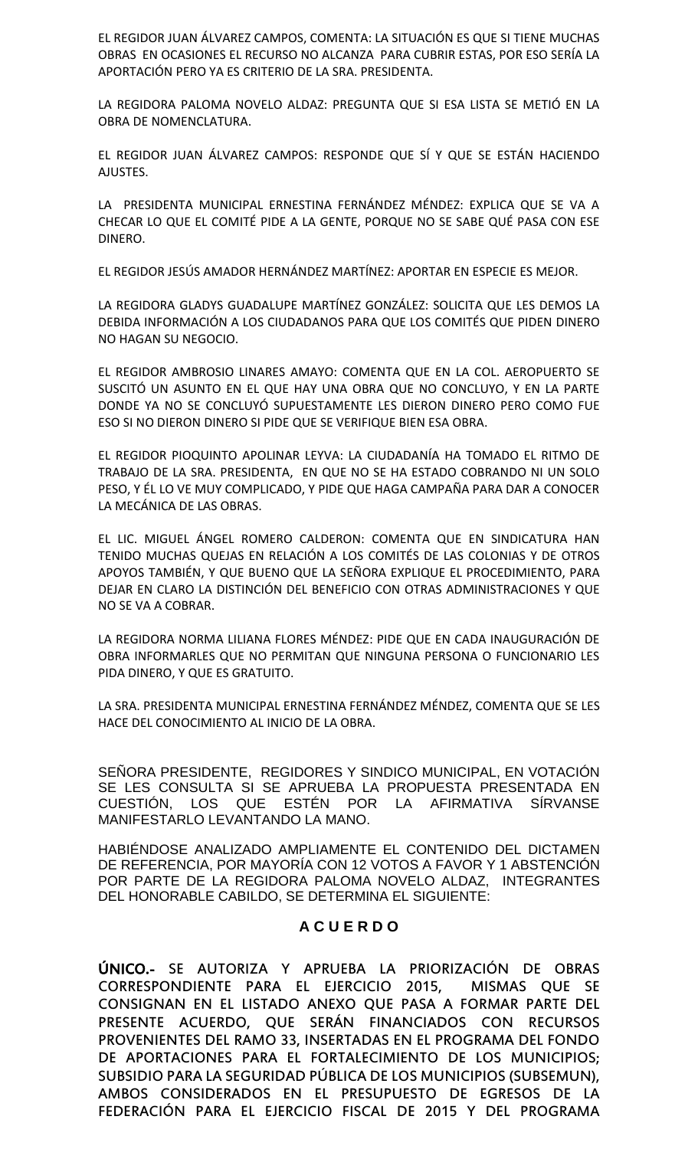EL REGIDOR JUAN ÁLVAREZ CAMPOS, COMENTA: LA SITUACIÓN ES QUE SI TIENE MUCHAS OBRAS EN OCASIONES EL RECURSO NO ALCANZA PARA CUBRIR ESTAS, POR ESO SERÍA LA APORTACIÓN PERO YA ES CRITERIO DE LA SRA. PRESIDENTA.

LA REGIDORA PALOMA NOVELO ALDAZ: PREGUNTA QUE SI ESA LISTA SE METIÓ EN LA OBRA DE NOMENCLATURA.

EL REGIDOR JUAN ÁLVAREZ CAMPOS: RESPONDE QUE SÍ Y QUE SE ESTÁN HACIENDO AJUSTES.

LA PRESIDENTA MUNICIPAL ERNESTINA FERNÁNDEZ MÉNDEZ: EXPLICA QUE SE VA A CHECAR LO QUE EL COMITÉ PIDE A LA GENTE, PORQUE NO SE SABE QUÉ PASA CON ESE DINERO.

EL REGIDOR JESÚS AMADOR HERNÁNDEZ MARTÍNEZ: APORTAR EN ESPECIE ES MEJOR.

LA REGIDORA GLADYS GUADALUPE MARTÍNEZ GONZÁLEZ: SOLICITA QUE LES DEMOS LA DEBIDA INFORMACIÓN A LOS CIUDADANOS PARA QUE LOS COMITÉS QUE PIDEN DINERO NO HAGAN SU NEGOCIO.

EL REGIDOR AMBROSIO LINARES AMAYO: COMENTA QUE EN LA COL. AEROPUERTO SE SUSCITÓ UN ASUNTO EN EL QUE HAY UNA OBRA QUE NO CONCLUYO, Y EN LA PARTE DONDE YA NO SE CONCLUYÓ SUPUESTAMENTE LES DIERON DINERO PERO COMO FUE ESO SI NO DIERON DINERO SI PIDE QUE SE VERIFIQUE BIEN ESA OBRA.

EL REGIDOR PIOQUINTO APOLINAR LEYVA: LA CIUDADANÍA HA TOMADO EL RITMO DE TRABAJO DE LA SRA. PRESIDENTA, EN QUE NO SE HA ESTADO COBRANDO NI UN SOLO PESO, Y ÉL LO VE MUY COMPLICADO, Y PIDE QUE HAGA CAMPAÑA PARA DAR A CONOCER LA MECÁNICA DE LAS OBRAS.

EL LIC. MIGUEL ÁNGEL ROMERO CALDERON: COMENTA QUE EN SINDICATURA HAN TENIDO MUCHAS QUEJAS EN RELACIÓN A LOS COMITÉS DE LAS COLONIAS Y DE OTROS APOYOS TAMBIÉN, Y QUE BUENO QUE LA SEÑORA EXPLIQUE EL PROCEDIMIENTO, PARA DEJAR EN CLARO LA DISTINCIÓN DEL BENEFICIO CON OTRAS ADMINISTRACIONES Y QUE NO SE VA A COBRAR.

LA REGIDORA NORMA LILIANA FLORES MÉNDEZ: PIDE QUE EN CADA INAUGURACIÓN DE OBRA INFORMARLES QUE NO PERMITAN QUE NINGUNA PERSONA O FUNCIONARIO LES PIDA DINERO, Y QUE ES GRATUITO.

LA SRA. PRESIDENTA MUNICIPAL ERNESTINA FERNÁNDEZ MÉNDEZ, COMENTA QUE SE LES HACE DEL CONOCIMIENTO AL INICIO DE LA OBRA.

SEÑORA PRESIDENTE, REGIDORES Y SINDICO MUNICIPAL, EN VOTACIÓN SE LES CONSULTA SI SE APRUEBA LA PROPUESTA PRESENTADA EN CUESTIÓN, LOS QUE ESTÉN POR LA AFIRMATIVA SÍRVANSE MANIFESTARLO LEVANTANDO LA MANO.

HABIÉNDOSE ANALIZADO AMPLIAMENTE EL CONTENIDO DEL DICTAMEN DE REFERENCIA, POR MAYORÍA CON 12 VOTOS A FAVOR Y 1 ABSTENCIÓN POR PARTE DE LA REGIDORA PALOMA NOVELO ALDAZ, INTEGRANTES DEL HONORABLE CABILDO, SE DETERMINA EL SIGUIENTE:

# **A C U E R D O**

ÚNICO.- SE AUTORIZA Y APRUEBA LA PRIORIZACIÓN DE OBRAS CORRESPONDIENTE PARA EL EJERCICIO 2015, MISMAS QUE SE CONSIGNAN EN EL LISTADO ANEXO QUE PASA A FORMAR PARTE DEL PRESENTE ACUERDO, QUE SERÁN FINANCIADOS CON RECURSOS PROVENIENTES DEL RAMO 33, INSERTADAS EN EL PROGRAMA DEL FONDO DE APORTACIONES PARA EL FORTALECIMIENTO DE LOS MUNICIPIOS; SUBSIDIO PARA LA SEGURIDAD PÚBLICA DE LOS MUNICIPIOS (SUBSEMUN), AMBOS CONSIDERADOS EN EL PRESUPUESTO DE EGRESOS DE LA FEDERACIÓN PARA EL EJERCICIO FISCAL DE 2015 Y DEL PROGRAMA